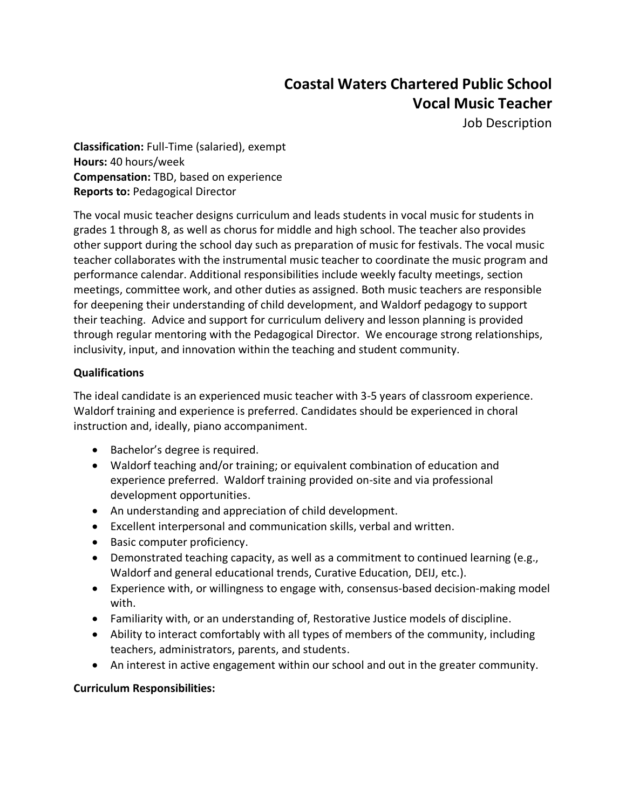# **Coastal Waters Chartered Public School Vocal Music Teacher**

Job Description

**Classification:** Full-Time (salaried), exempt **Hours:** 40 hours/week **Compensation:** TBD, based on experience **Reports to:** Pedagogical Director

The vocal music teacher designs curriculum and leads students in vocal music for students in grades 1 through 8, as well as chorus for middle and high school. The teacher also provides other support during the school day such as preparation of music for festivals. The vocal music teacher collaborates with the instrumental music teacher to coordinate the music program and performance calendar. Additional responsibilities include weekly faculty meetings, section meetings, committee work, and other duties as assigned. Both music teachers are responsible for deepening their understanding of child development, and Waldorf pedagogy to support their teaching. Advice and support for curriculum delivery and lesson planning is provided through regular mentoring with the Pedagogical Director. We encourage strong relationships, inclusivity, input, and innovation within the teaching and student community.

## **Qualifications**

The ideal candidate is an experienced music teacher with 3-5 years of classroom experience. Waldorf training and experience is preferred. Candidates should be experienced in choral instruction and, ideally, piano accompaniment.

- Bachelor's degree is required.
- Waldorf teaching and/or training; or equivalent combination of education and experience preferred. Waldorf training provided on-site and via professional development opportunities.
- An understanding and appreciation of child development.
- Excellent interpersonal and communication skills, verbal and written.
- Basic computer proficiency.
- Demonstrated teaching capacity, as well as a commitment to continued learning (e.g., Waldorf and general educational trends, Curative Education, DEIJ, etc.).
- Experience with, or willingness to engage with, consensus-based decision-making model with.
- Familiarity with, or an understanding of, Restorative Justice models of discipline.
- Ability to interact comfortably with all types of members of the community, including teachers, administrators, parents, and students.
- An interest in active engagement within our school and out in the greater community.

## **Curriculum Responsibilities:**